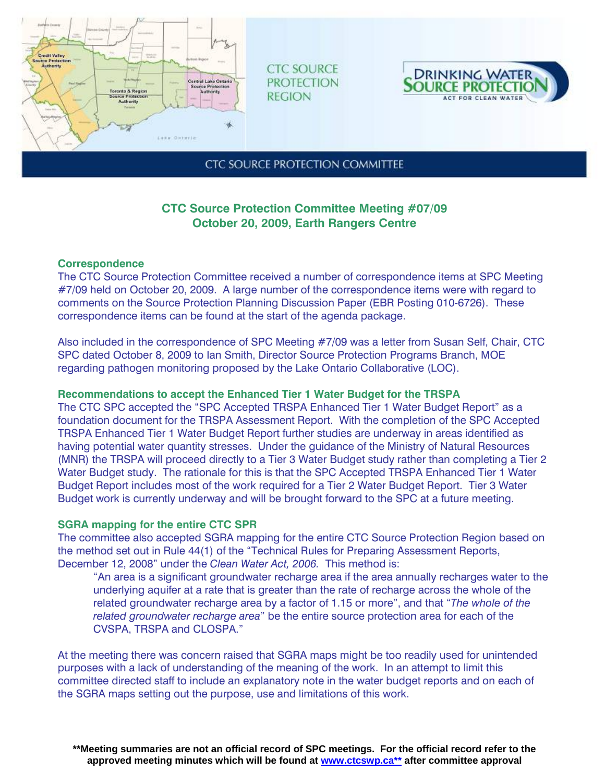

**CTC SOURCE PROTECTION REGION** 



**CTC SOURCE PROTECTION COMMITTEE** 

# **CTC Source Protection Committee Meeting #07/09 October 20, 2009, Earth Rangers Centre**

#### **Correspondence**

The CTC Source Protection Committee received a number of correspondence items at SPC Meeting #7/09 held on October 20, 2009. A large number of the correspondence items were with regard to comments on the Source Protection Planning Discussion Paper (EBR Posting 010-6726). These correspondence items can be found at the start of the agenda package.

Also included in the correspondence of SPC Meeting #7/09 was a letter from Susan Self, Chair, CTC SPC dated October 8, 2009 to Ian Smith, Director Source Protection Programs Branch, MOE regarding pathogen monitoring proposed by the Lake Ontario Collaborative (LOC).

## **Recommendations to accept the Enhanced Tier 1 Water Budget for the TRSPA**

The CTC SPC accepted the "SPC Accepted TRSPA Enhanced Tier 1 Water Budget Report" as a foundation document for the TRSPA Assessment Report. With the completion of the SPC Accepted TRSPA Enhanced Tier 1 Water Budget Report further studies are underway in areas identified as having potential water quantity stresses. Under the guidance of the Ministry of Natural Resources (MNR) the TRSPA will proceed directly to a Tier 3 Water Budget study rather than completing a Tier 2 Water Budget study. The rationale for this is that the SPC Accepted TRSPA Enhanced Tier 1 Water Budget Report includes most of the work required for a Tier 2 Water Budget Report. Tier 3 Water Budget work is currently underway and will be brought forward to the SPC at a future meeting.

#### **SGRA mapping for the entire CTC SPR**

The committee also accepted SGRA mapping for the entire CTC Source Protection Region based on the method set out in Rule 44(1) of the "Technical Rules for Preparing Assessment Reports, December 12, 2008" under the *Clean Water Act, 2006.* This method is:

 "An area is a significant groundwater recharge area if the area annually recharges water to the underlying aquifer at a rate that is greater than the rate of recharge across the whole of the related groundwater recharge area by a factor of 1.15 or more", and that "*The whole of the related groundwater recharge area*" be the entire source protection area for each of the CVSPA, TRSPA and CLOSPA."

At the meeting there was concern raised that SGRA maps might be too readily used for unintended purposes with a lack of understanding of the meaning of the work. In an attempt to limit this committee directed staff to include an explanatory note in the water budget reports and on each of the SGRA maps setting out the purpose, use and limitations of this work.

**\*\*Meeting summaries are not an official record of SPC meetings. For the official record refer to the approved meeting minutes which will be found at www.ctcswp.ca\*\* after committee approval**